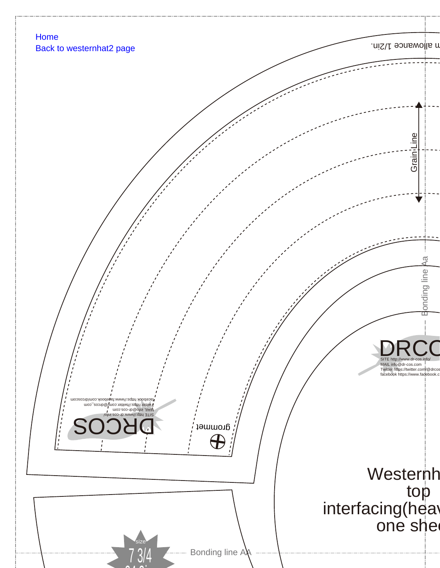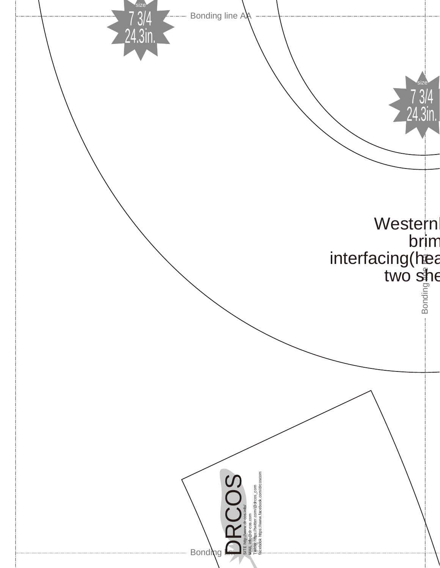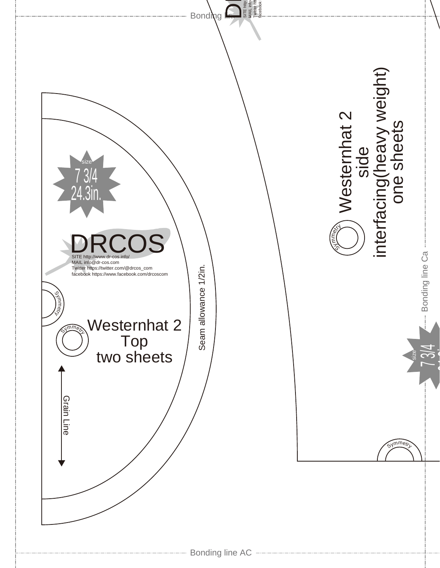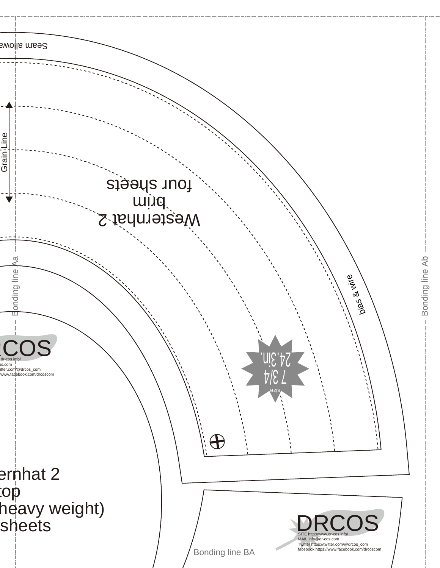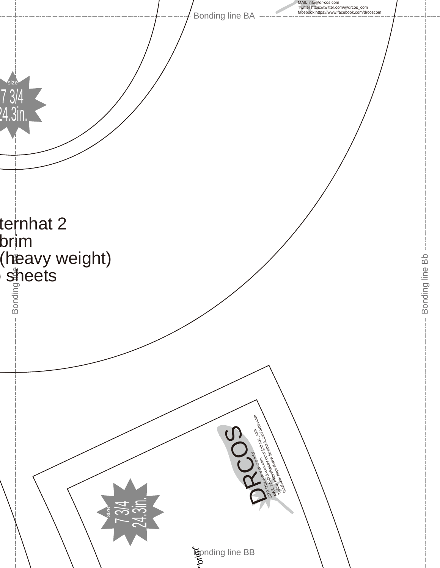